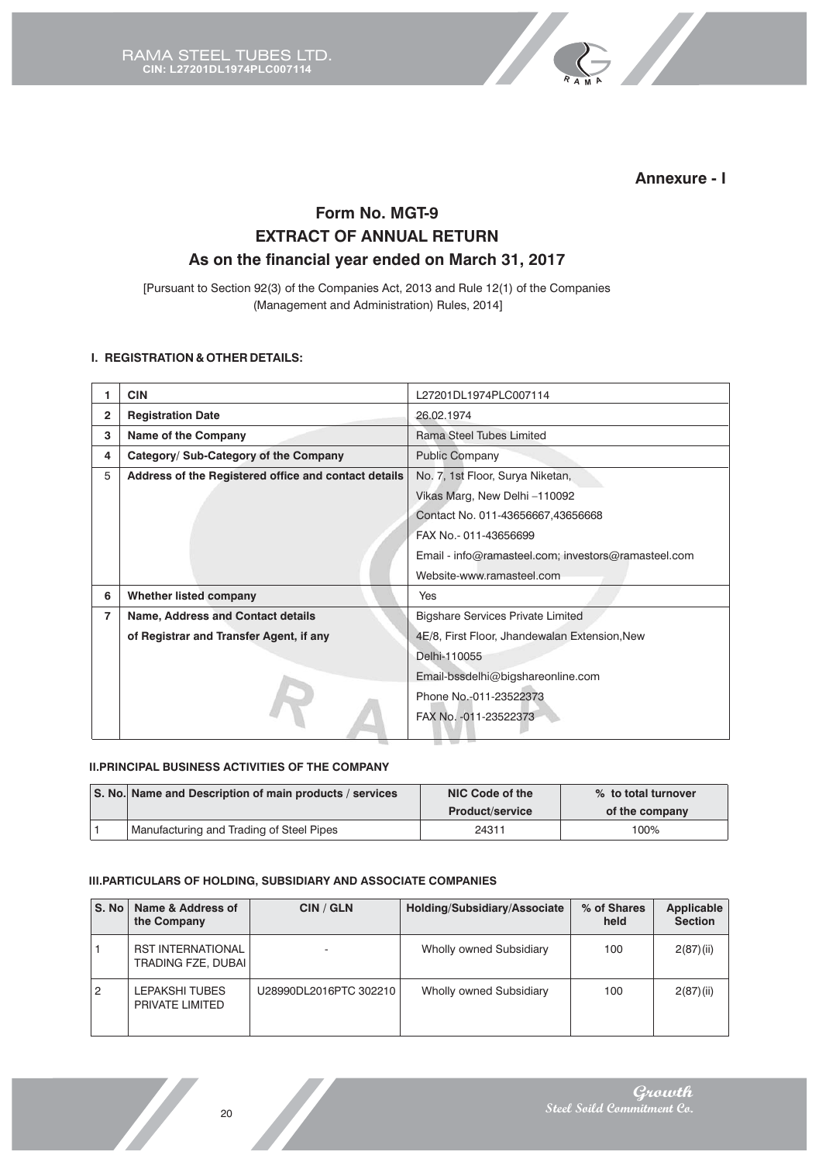

**R <sup>A</sup> <sup>M</sup> A**

# **Form No. MGT-9 EXTRACT OF ANNUAL RETURN As on the financial year ended on March 31, 2017**

[Pursuant to Section 92(3) of the Companies Act, 2013 and Rule 12(1) of the Companies (Management and Administration) Rules, 2014]

## **I. REGISTRATION & OTHER DETAILS:**

|                | <b>CIN</b>                                           | L27201DL1974PLC007114                               |  |  |  |
|----------------|------------------------------------------------------|-----------------------------------------------------|--|--|--|
| $\overline{2}$ | <b>Registration Date</b>                             | 26.02.1974                                          |  |  |  |
| 3              | <b>Name of the Company</b>                           | Rama Steel Tubes Limited                            |  |  |  |
| 4              | Category/ Sub-Category of the Company                | <b>Public Company</b>                               |  |  |  |
| 5              | Address of the Registered office and contact details | No. 7, 1st Floor, Surya Niketan,                    |  |  |  |
|                |                                                      | Vikas Marg, New Delhi -110092                       |  |  |  |
|                |                                                      | Contact No. 011-43656667,43656668                   |  |  |  |
|                |                                                      | FAX No.- 011-43656699                               |  |  |  |
|                |                                                      | Email - info@ramasteel.com; investors@ramasteel.com |  |  |  |
|                |                                                      | Website-www.ramasteel.com                           |  |  |  |
| 6              | Whether listed company                               | Yes                                                 |  |  |  |
| 7              | <b>Name, Address and Contact details</b>             | <b>Bigshare Services Private Limited</b>            |  |  |  |
|                | of Registrar and Transfer Agent, if any              | 4E/8, First Floor, Jhandewalan Extension, New       |  |  |  |
|                |                                                      | Delhi-110055                                        |  |  |  |
|                |                                                      | Email-bssdelhi@bigshareonline.com                   |  |  |  |
|                |                                                      | Phone No.-011-23522373                              |  |  |  |
|                |                                                      | FAX No. - 011-23522373                              |  |  |  |

#### **II.PRINCIPAL BUSINESS ACTIVITIES OF THE COMPANY**

| S. No. Name and Description of main products / services | NIC Code of the        | % to total turnover |
|---------------------------------------------------------|------------------------|---------------------|
|                                                         | <b>Product/service</b> | of the company      |
| Manufacturing and Trading of Steel Pipes                | 24311                  | 100%                |

#### **III.PARTICULARS OF HOLDING, SUBSIDIARY AND ASSOCIATE COMPANIES**

| S. No | Name & Address of<br>the Company               | CIN / GLN              | Holding/Subsidiary/Associate   | % of Shares<br>held | <b>Applicable</b><br><b>Section</b> |
|-------|------------------------------------------------|------------------------|--------------------------------|---------------------|-------------------------------------|
|       | <b>RST INTERNATIONAL</b><br>TRADING FZE, DUBAI |                        | Wholly owned Subsidiary        | 100                 | 2(87)(ii)                           |
| 2     | LEPAKSHI TUBES<br>PRIVATE LIMITED              | U28990DL2016PTC 302210 | <b>Wholly owned Subsidiary</b> | 100                 | 2(87)(ii)                           |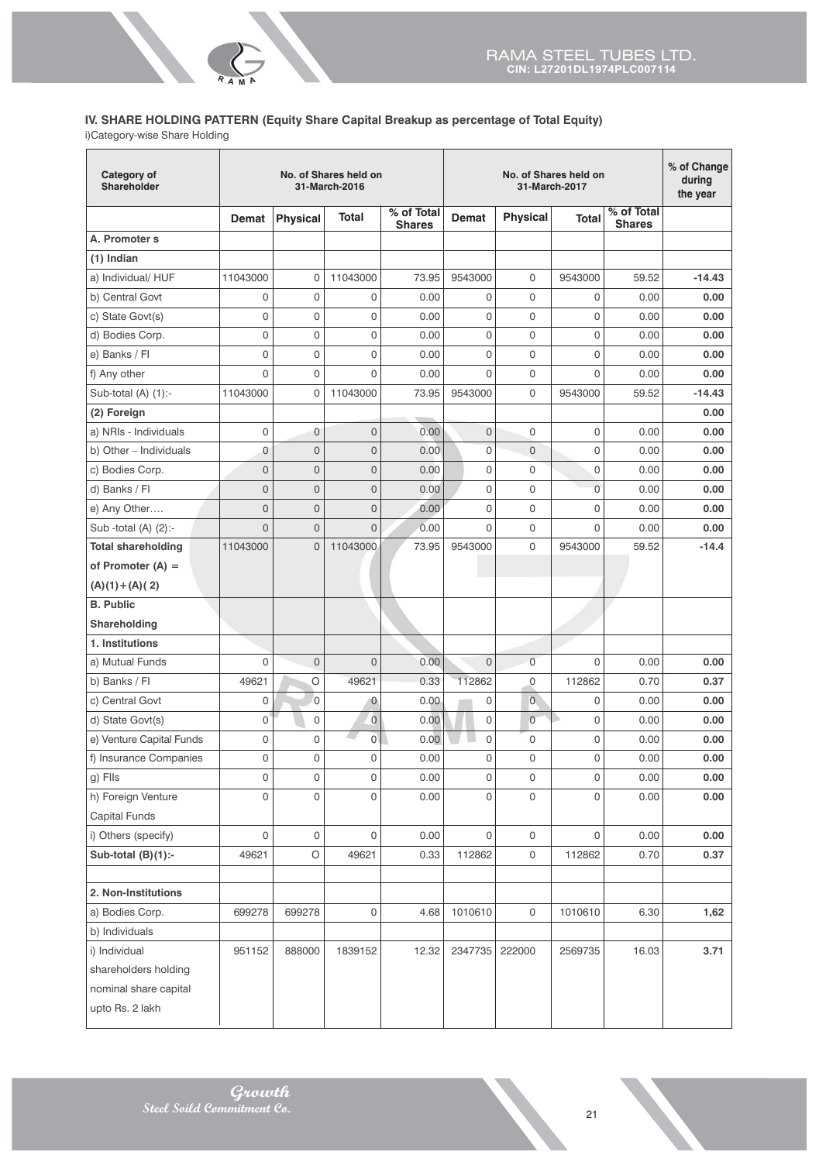# **IV. SHARE HOLDING PATTERN (Equity Share Capital Breakup as percentage of Total Equity)**

i)Category-wise Share Holding

**R <sup>A</sup> <sup>M</sup>A**

| % of Total<br>% of Total<br>Total<br><b>Physical</b><br>Demat<br><b>Total</b><br><b>Physical</b><br><b>Demat</b><br><b>Shares</b><br><b>Shares</b><br>A. Promoter s<br>$(1)$ Indian<br>a) Individual/ HUF<br>9543000<br>11043000<br>$\mathbf 0$<br>11043000<br>73.95<br>0<br>9543000<br>59.52<br>$-14.43$<br>b) Central Govt<br>$\mathbf 0$<br>$\mathbf 0$<br>0<br>0<br>0<br>0.00<br>0<br>0.00<br>0.00<br>$\mathbf 0$<br>c) State Govt(s)<br>0<br>0<br>0<br>0<br>0<br>0.00<br>0.00<br>0.00<br>0<br>$\mathbf 0$<br>0<br>0<br>0<br>d) Bodies Corp.<br>0.00<br>0<br>0.00<br>0.00<br>0<br>$\mathbf 0$<br>0<br>0<br>0<br>0<br>e) Banks / Fl<br>0.00<br>0.00<br>0.00<br>0<br>f) Any other<br>0<br>0<br>0.00<br>0<br>0<br>0<br>0.00<br>0.00<br>11043000<br>0<br>Sub-total $(A)$ $(1)$ :-<br>11043000<br>$\mathbf{0}$<br>73.95<br>9543000<br>9543000<br>$-14.43$<br>59.52<br>(2) Foreign<br>0.00<br>$\mathbf 0$<br>$\mathbf 0$<br>$\overline{0}$<br>$\overline{0}$<br>$\Omega$<br>0<br>a) NRIs - Individuals<br>0.00<br>0.00<br>0.00<br>0<br>$\mathbf 0$<br>0<br>0<br>b) Other - Individuals<br>0.00<br>0<br>$\mathbf{0}$<br>0.00<br>0.00<br>$\mathbf 0$<br>$\mathbf 0$<br>0<br>0<br>0<br>$\overline{0}$<br>c) Bodies Corp.<br>0.00<br>0.00<br>0.00<br>$\overline{0}$<br>$\mathbf 0$<br>$\overline{0}$<br>$\mathbf 0$<br>$\overline{0}$<br>d) Banks / Fl<br>0.00<br>0<br>0.00<br>0.00<br>$\mathbf 0$<br>$\mathbf 0$<br>$\overline{0}$<br>0<br>e) Any Other<br>0.00<br>0<br>0<br>0.00<br>0.00<br>$\overline{0}$<br>0<br>$\overline{0}$<br>$\mathsf{O}\xspace$<br>0<br>0<br>Sub -total (A) (2):-<br>0.00<br>0.00<br>0.00 |
|----------------------------------------------------------------------------------------------------------------------------------------------------------------------------------------------------------------------------------------------------------------------------------------------------------------------------------------------------------------------------------------------------------------------------------------------------------------------------------------------------------------------------------------------------------------------------------------------------------------------------------------------------------------------------------------------------------------------------------------------------------------------------------------------------------------------------------------------------------------------------------------------------------------------------------------------------------------------------------------------------------------------------------------------------------------------------------------------------------------------------------------------------------------------------------------------------------------------------------------------------------------------------------------------------------------------------------------------------------------------------------------------------------------------------------------------------------------------------------------------------------------------------------------------------------------------------------------------------------------|
|                                                                                                                                                                                                                                                                                                                                                                                                                                                                                                                                                                                                                                                                                                                                                                                                                                                                                                                                                                                                                                                                                                                                                                                                                                                                                                                                                                                                                                                                                                                                                                                                                |
|                                                                                                                                                                                                                                                                                                                                                                                                                                                                                                                                                                                                                                                                                                                                                                                                                                                                                                                                                                                                                                                                                                                                                                                                                                                                                                                                                                                                                                                                                                                                                                                                                |
|                                                                                                                                                                                                                                                                                                                                                                                                                                                                                                                                                                                                                                                                                                                                                                                                                                                                                                                                                                                                                                                                                                                                                                                                                                                                                                                                                                                                                                                                                                                                                                                                                |
|                                                                                                                                                                                                                                                                                                                                                                                                                                                                                                                                                                                                                                                                                                                                                                                                                                                                                                                                                                                                                                                                                                                                                                                                                                                                                                                                                                                                                                                                                                                                                                                                                |
|                                                                                                                                                                                                                                                                                                                                                                                                                                                                                                                                                                                                                                                                                                                                                                                                                                                                                                                                                                                                                                                                                                                                                                                                                                                                                                                                                                                                                                                                                                                                                                                                                |
|                                                                                                                                                                                                                                                                                                                                                                                                                                                                                                                                                                                                                                                                                                                                                                                                                                                                                                                                                                                                                                                                                                                                                                                                                                                                                                                                                                                                                                                                                                                                                                                                                |
|                                                                                                                                                                                                                                                                                                                                                                                                                                                                                                                                                                                                                                                                                                                                                                                                                                                                                                                                                                                                                                                                                                                                                                                                                                                                                                                                                                                                                                                                                                                                                                                                                |
|                                                                                                                                                                                                                                                                                                                                                                                                                                                                                                                                                                                                                                                                                                                                                                                                                                                                                                                                                                                                                                                                                                                                                                                                                                                                                                                                                                                                                                                                                                                                                                                                                |
|                                                                                                                                                                                                                                                                                                                                                                                                                                                                                                                                                                                                                                                                                                                                                                                                                                                                                                                                                                                                                                                                                                                                                                                                                                                                                                                                                                                                                                                                                                                                                                                                                |
|                                                                                                                                                                                                                                                                                                                                                                                                                                                                                                                                                                                                                                                                                                                                                                                                                                                                                                                                                                                                                                                                                                                                                                                                                                                                                                                                                                                                                                                                                                                                                                                                                |
|                                                                                                                                                                                                                                                                                                                                                                                                                                                                                                                                                                                                                                                                                                                                                                                                                                                                                                                                                                                                                                                                                                                                                                                                                                                                                                                                                                                                                                                                                                                                                                                                                |
|                                                                                                                                                                                                                                                                                                                                                                                                                                                                                                                                                                                                                                                                                                                                                                                                                                                                                                                                                                                                                                                                                                                                                                                                                                                                                                                                                                                                                                                                                                                                                                                                                |
|                                                                                                                                                                                                                                                                                                                                                                                                                                                                                                                                                                                                                                                                                                                                                                                                                                                                                                                                                                                                                                                                                                                                                                                                                                                                                                                                                                                                                                                                                                                                                                                                                |
|                                                                                                                                                                                                                                                                                                                                                                                                                                                                                                                                                                                                                                                                                                                                                                                                                                                                                                                                                                                                                                                                                                                                                                                                                                                                                                                                                                                                                                                                                                                                                                                                                |
|                                                                                                                                                                                                                                                                                                                                                                                                                                                                                                                                                                                                                                                                                                                                                                                                                                                                                                                                                                                                                                                                                                                                                                                                                                                                                                                                                                                                                                                                                                                                                                                                                |
|                                                                                                                                                                                                                                                                                                                                                                                                                                                                                                                                                                                                                                                                                                                                                                                                                                                                                                                                                                                                                                                                                                                                                                                                                                                                                                                                                                                                                                                                                                                                                                                                                |
|                                                                                                                                                                                                                                                                                                                                                                                                                                                                                                                                                                                                                                                                                                                                                                                                                                                                                                                                                                                                                                                                                                                                                                                                                                                                                                                                                                                                                                                                                                                                                                                                                |
| $\mathbf 0$<br>$-14.4$<br><b>Total shareholding</b><br>11043000<br>$\overline{0}$<br>11043000<br>73.95<br>9543000<br>9543000<br>59.52                                                                                                                                                                                                                                                                                                                                                                                                                                                                                                                                                                                                                                                                                                                                                                                                                                                                                                                                                                                                                                                                                                                                                                                                                                                                                                                                                                                                                                                                          |
| of Promoter $(A) =$                                                                                                                                                                                                                                                                                                                                                                                                                                                                                                                                                                                                                                                                                                                                                                                                                                                                                                                                                                                                                                                                                                                                                                                                                                                                                                                                                                                                                                                                                                                                                                                            |
| $(A)(1)+(A)(2)$                                                                                                                                                                                                                                                                                                                                                                                                                                                                                                                                                                                                                                                                                                                                                                                                                                                                                                                                                                                                                                                                                                                                                                                                                                                                                                                                                                                                                                                                                                                                                                                                |
| <b>B.</b> Public                                                                                                                                                                                                                                                                                                                                                                                                                                                                                                                                                                                                                                                                                                                                                                                                                                                                                                                                                                                                                                                                                                                                                                                                                                                                                                                                                                                                                                                                                                                                                                                               |
| Shareholding                                                                                                                                                                                                                                                                                                                                                                                                                                                                                                                                                                                                                                                                                                                                                                                                                                                                                                                                                                                                                                                                                                                                                                                                                                                                                                                                                                                                                                                                                                                                                                                                   |
| 1. Institutions                                                                                                                                                                                                                                                                                                                                                                                                                                                                                                                                                                                                                                                                                                                                                                                                                                                                                                                                                                                                                                                                                                                                                                                                                                                                                                                                                                                                                                                                                                                                                                                                |
| $\overline{0}$<br>$\overline{0}$<br>$\overline{0}$<br>0<br>a) Mutual Funds<br>0<br>$\mathbf{0}$<br>0.00<br>0.00<br>0.00                                                                                                                                                                                                                                                                                                                                                                                                                                                                                                                                                                                                                                                                                                                                                                                                                                                                                                                                                                                                                                                                                                                                                                                                                                                                                                                                                                                                                                                                                        |
| b) Banks / Fl<br>49621<br>$\circ$<br>49621<br>0.33<br>112862<br>112862<br>0.70<br>0.37<br>0                                                                                                                                                                                                                                                                                                                                                                                                                                                                                                                                                                                                                                                                                                                                                                                                                                                                                                                                                                                                                                                                                                                                                                                                                                                                                                                                                                                                                                                                                                                    |
| $\overline{0}$<br>$\overline{0}$<br>c) Central Govt<br>0<br>0.00<br>$\mathbf 0$<br>0<br>0.00<br>0.00<br>$\mathbf 0$                                                                                                                                                                                                                                                                                                                                                                                                                                                                                                                                                                                                                                                                                                                                                                                                                                                                                                                                                                                                                                                                                                                                                                                                                                                                                                                                                                                                                                                                                            |
| Ō<br>0<br>0.00<br>$\overline{0}$<br>0<br>d) State Govt(s)<br>0<br>0<br>0.00<br>0.00                                                                                                                                                                                                                                                                                                                                                                                                                                                                                                                                                                                                                                                                                                                                                                                                                                                                                                                                                                                                                                                                                                                                                                                                                                                                                                                                                                                                                                                                                                                            |
| 0.00<br>0<br>e) Venture Capital Funds<br>0<br>0<br>0<br>0<br>0.00<br>0.00<br>0                                                                                                                                                                                                                                                                                                                                                                                                                                                                                                                                                                                                                                                                                                                                                                                                                                                                                                                                                                                                                                                                                                                                                                                                                                                                                                                                                                                                                                                                                                                                 |
| 0<br>0<br>0<br>0<br>$\mathsf{O}$<br>f) Insurance Companies<br>0.00<br>0<br>0.00<br>0.00                                                                                                                                                                                                                                                                                                                                                                                                                                                                                                                                                                                                                                                                                                                                                                                                                                                                                                                                                                                                                                                                                                                                                                                                                                                                                                                                                                                                                                                                                                                        |
| g) Flls<br>0<br>$\mathsf O$<br>0<br>$\mathsf{O}\xspace$<br>$\mathsf{O}$<br>0.00<br>0.00<br>$\mathsf{O}\xspace$<br>0.00                                                                                                                                                                                                                                                                                                                                                                                                                                                                                                                                                                                                                                                                                                                                                                                                                                                                                                                                                                                                                                                                                                                                                                                                                                                                                                                                                                                                                                                                                         |
| h) Foreign Venture<br>0<br>0<br>0<br>0<br>$\mathsf{O}\xspace$<br>0.00<br>0<br>0.00<br>0.00                                                                                                                                                                                                                                                                                                                                                                                                                                                                                                                                                                                                                                                                                                                                                                                                                                                                                                                                                                                                                                                                                                                                                                                                                                                                                                                                                                                                                                                                                                                     |
| <b>Capital Funds</b>                                                                                                                                                                                                                                                                                                                                                                                                                                                                                                                                                                                                                                                                                                                                                                                                                                                                                                                                                                                                                                                                                                                                                                                                                                                                                                                                                                                                                                                                                                                                                                                           |
| i) Others (specify)<br>0<br>$\mathsf 0$<br>0<br>$\mathsf 0$<br>0.00<br>0<br>0<br>0.00<br>0.00                                                                                                                                                                                                                                                                                                                                                                                                                                                                                                                                                                                                                                                                                                                                                                                                                                                                                                                                                                                                                                                                                                                                                                                                                                                                                                                                                                                                                                                                                                                  |
| Sub-total $(B)(1)$ :-<br>$\bigcirc$<br>$\mathsf{O}\xspace$<br>49621<br>49621<br>0.33<br>112862<br>112862<br>0.70<br>0.37                                                                                                                                                                                                                                                                                                                                                                                                                                                                                                                                                                                                                                                                                                                                                                                                                                                                                                                                                                                                                                                                                                                                                                                                                                                                                                                                                                                                                                                                                       |
| 2. Non-Institutions                                                                                                                                                                                                                                                                                                                                                                                                                                                                                                                                                                                                                                                                                                                                                                                                                                                                                                                                                                                                                                                                                                                                                                                                                                                                                                                                                                                                                                                                                                                                                                                            |
| a) Bodies Corp.<br>1010610<br>1010610<br>6.30<br>1,62<br>699278<br>699278<br>0<br>4.68<br>0                                                                                                                                                                                                                                                                                                                                                                                                                                                                                                                                                                                                                                                                                                                                                                                                                                                                                                                                                                                                                                                                                                                                                                                                                                                                                                                                                                                                                                                                                                                    |
| b) Individuals                                                                                                                                                                                                                                                                                                                                                                                                                                                                                                                                                                                                                                                                                                                                                                                                                                                                                                                                                                                                                                                                                                                                                                                                                                                                                                                                                                                                                                                                                                                                                                                                 |
| i) Individual<br>951152<br>16.03<br>3.71<br>888000<br>1839152<br>12.32<br>2347735<br>222000<br>2569735                                                                                                                                                                                                                                                                                                                                                                                                                                                                                                                                                                                                                                                                                                                                                                                                                                                                                                                                                                                                                                                                                                                                                                                                                                                                                                                                                                                                                                                                                                         |
| shareholders holding                                                                                                                                                                                                                                                                                                                                                                                                                                                                                                                                                                                                                                                                                                                                                                                                                                                                                                                                                                                                                                                                                                                                                                                                                                                                                                                                                                                                                                                                                                                                                                                           |
| nominal share capital                                                                                                                                                                                                                                                                                                                                                                                                                                                                                                                                                                                                                                                                                                                                                                                                                                                                                                                                                                                                                                                                                                                                                                                                                                                                                                                                                                                                                                                                                                                                                                                          |
| upto Rs. 2 lakh                                                                                                                                                                                                                                                                                                                                                                                                                                                                                                                                                                                                                                                                                                                                                                                                                                                                                                                                                                                                                                                                                                                                                                                                                                                                                                                                                                                                                                                                                                                                                                                                |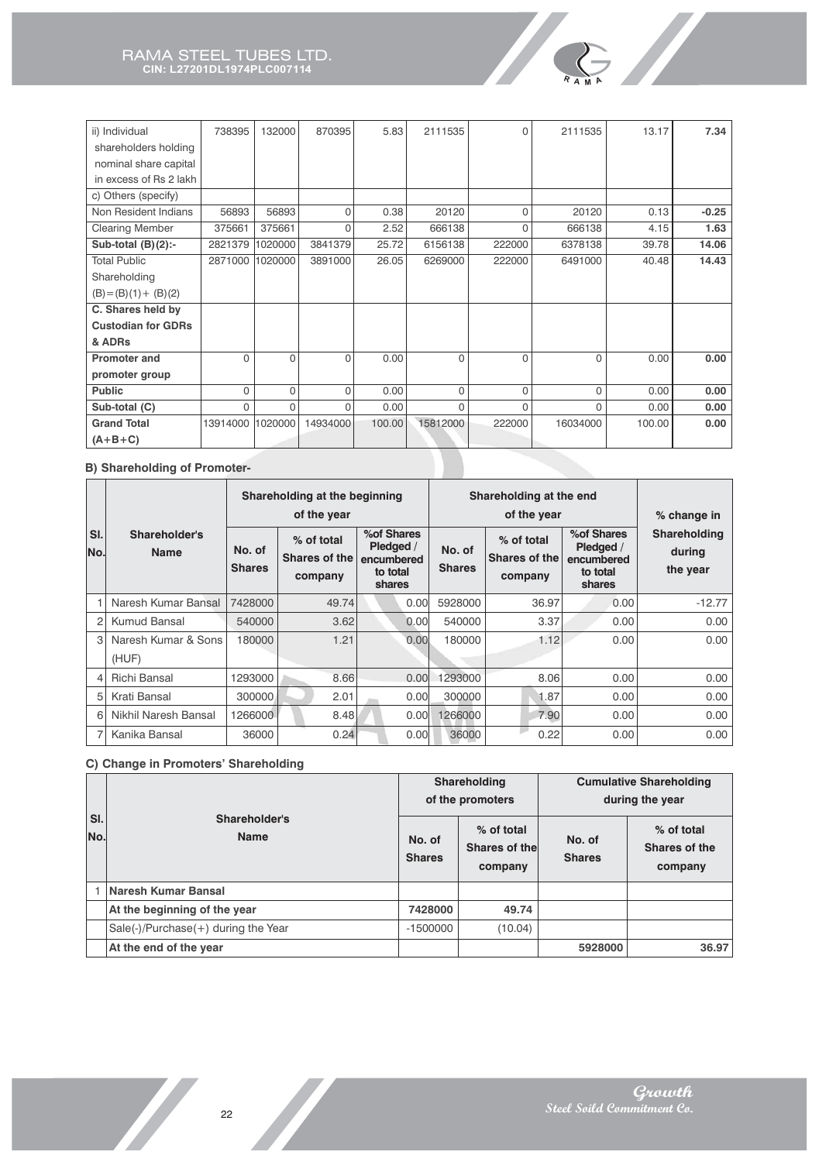| ii) Individual            | 738395       | 132000   | 870395   | 5.83   | 2111535  | 0        | 2111535  | 13.17  | 7.34    |
|---------------------------|--------------|----------|----------|--------|----------|----------|----------|--------|---------|
| shareholders holding      |              |          |          |        |          |          |          |        |         |
| nominal share capital     |              |          |          |        |          |          |          |        |         |
| in excess of Rs 2 lakh    |              |          |          |        |          |          |          |        |         |
| c) Others (specify)       |              |          |          |        |          |          |          |        |         |
| Non Resident Indians      | 56893        | 56893    | $\Omega$ | 0.38   | 20120    | $\Omega$ | 20120    | 0.13   | $-0.25$ |
| <b>Clearing Member</b>    | 375661       | 375661   | 0        | 2.52   | 666138   | $\Omega$ | 666138   | 4.15   | 1.63    |
| Sub-total $(B)(2)$ :-     | 2821379      | 1020000  | 3841379  | 25.72  | 6156138  | 222000   | 6378138  | 39.78  | 14.06   |
| <b>Total Public</b>       | 2871000      | 1020000  | 3891000  | 26.05  | 6269000  | 222000   | 6491000  | 40.48  | 14.43   |
| Shareholding              |              |          |          |        |          |          |          |        |         |
| $(B) = (B)(1) + (B)(2)$   |              |          |          |        |          |          |          |        |         |
| C. Shares held by         |              |          |          |        |          |          |          |        |         |
| <b>Custodian for GDRs</b> |              |          |          |        |          |          |          |        |         |
| & ADRs                    |              |          |          |        |          |          |          |        |         |
| <b>Promoter and</b>       | $\mathbf{0}$ | $\Omega$ | $\Omega$ | 0.00   | $\Omega$ | $\Omega$ | $\Omega$ | 0.00   | 0.00    |
| promoter group            |              |          |          |        |          |          |          |        |         |
| <b>Public</b>             | 0            | $\Omega$ | 0        | 0.00   | $\Omega$ | $\Omega$ | 0        | 0.00   | 0.00    |
| Sub-total (C)             | $\Omega$     | $\Omega$ | $\Omega$ | 0.00   | $\Omega$ | $\Omega$ | $\Omega$ | 0.00   | 0.00    |
| <b>Grand Total</b>        | 13914000     | 1020000  | 14934000 | 100.00 | 15812000 | 222000   | 16034000 | 100.00 | 0.00    |
| $(A+B+C)$                 |              |          |          |        |          |          |          |        |         |

**R <sup>A</sup> <sup>M</sup> A**

#### **B) Shareholding of Promoter-**

|            |                              | Shareholding at the beginning<br>Shareholding at the end<br>of the year<br>of the year |                                               |                                                              |                         |                                        |                                                              | % change in                        |
|------------|------------------------------|----------------------------------------------------------------------------------------|-----------------------------------------------|--------------------------------------------------------------|-------------------------|----------------------------------------|--------------------------------------------------------------|------------------------------------|
| SI.<br>No. | Shareholder's<br><b>Name</b> | No. of<br><b>Shares</b>                                                                | % of total<br><b>Shares of the</b><br>company | % of Shares<br>Pledged /<br>encumbered<br>to total<br>shares | No. of<br><b>Shares</b> | % of total<br>Shares of the<br>company | % of Shares<br>Pledged /<br>encumbered<br>to total<br>shares | Shareholding<br>during<br>the year |
|            | Naresh Kumar Bansal          | 7428000                                                                                | 49.74                                         | 0.00 <sub>l</sub>                                            | 5928000                 | 36.97                                  | 0.00                                                         | $-12.77$                           |
| 2          | Kumud Bansal                 | 540000                                                                                 | 3.62                                          | 0.00                                                         | 540000                  | 3.37                                   | 0.00                                                         | 0.00                               |
| 3          | Naresh Kumar & Sons<br>(HUF) | 180000                                                                                 | 1.21                                          | 0.00                                                         | 180000                  | 1.12                                   | 0.00                                                         | 0.00                               |
| 4          | Richi Bansal                 | 1293000                                                                                | 8.66                                          | 0.00                                                         | 1293000                 | 8.06                                   | 0.00                                                         | 0.00                               |
| 5          | Krati Bansal                 | 300000                                                                                 | 2.01                                          | 0.00                                                         | 300000                  | 1.87                                   | 0.00                                                         | 0.00                               |
| 6          | Nikhil Naresh Bansal         | 1266000                                                                                | 8.48                                          | 0.00                                                         | 1266000                 | 7.90                                   | 0.00                                                         | 0.00                               |
|            | Kanika Bansal                | 36000                                                                                  | 0.24                                          | 0.00                                                         | 36000                   | 0.22                                   | 0.00                                                         | 0.00                               |

### **C) Change in Promoters' Shareholding**

|            |                                       |                         | Shareholding<br>of the promoters       | <b>Cumulative Shareholding</b><br>during the year |                                        |  |
|------------|---------------------------------------|-------------------------|----------------------------------------|---------------------------------------------------|----------------------------------------|--|
| SI.<br>No. | Shareholder's<br><b>Name</b>          | No. of<br><b>Shares</b> | % of total<br>Shares of the<br>company | No. of<br><b>Shares</b>                           | % of total<br>Shares of the<br>company |  |
|            | Naresh Kumar Bansal                   |                         |                                        |                                                   |                                        |  |
|            | At the beginning of the year          | 7428000                 | 49.74                                  |                                                   |                                        |  |
|            | $Sale(-)/Purchase(+)$ during the Year | $-1500000$              | (10.04)                                |                                                   |                                        |  |
|            | At the end of the year                |                         |                                        | 5928000                                           | 36.97                                  |  |

Z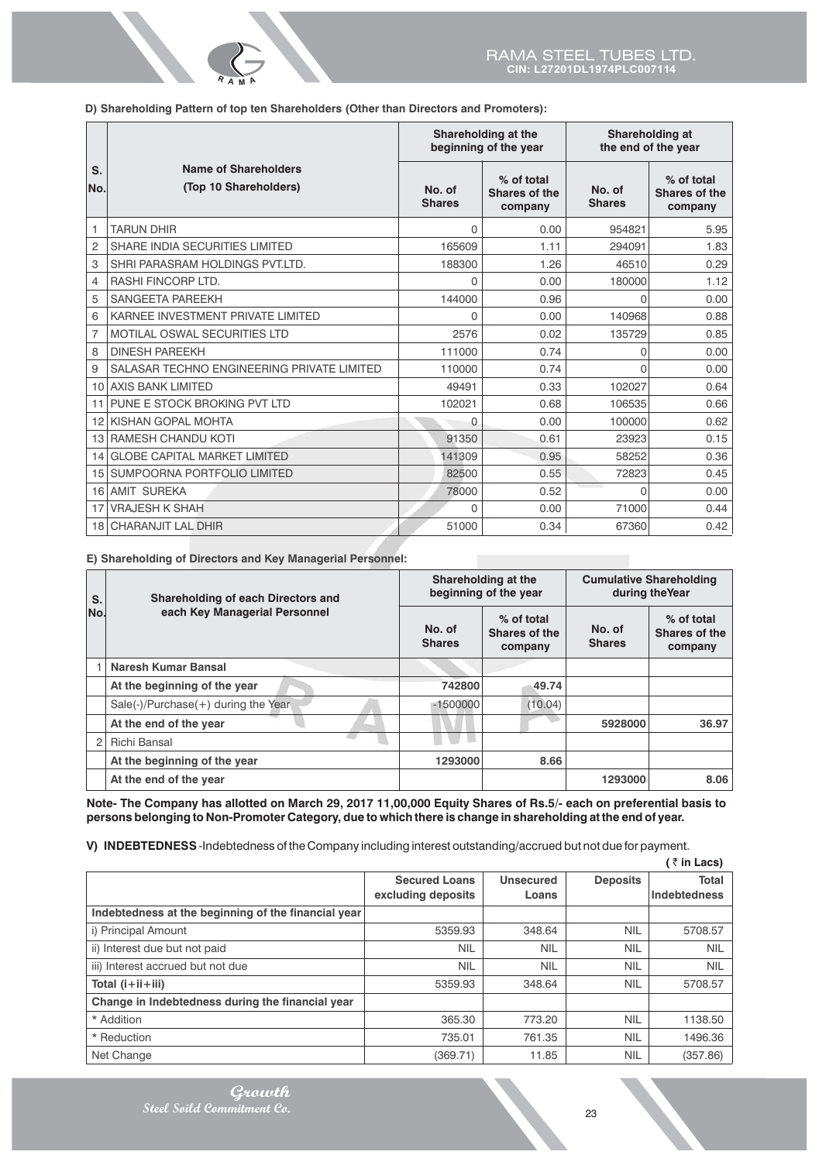**D) Shareholding Pattern of top ten Shareholders (Other than Directors and Promoters):**

**R <sup>A</sup> <sup>M</sup>A**

|                |                                                      |                         | Shareholding at the<br>beginning of the year | Shareholding at<br>the end of the year |                                               |  |
|----------------|------------------------------------------------------|-------------------------|----------------------------------------------|----------------------------------------|-----------------------------------------------|--|
| S.<br>No.      | <b>Name of Shareholders</b><br>(Top 10 Shareholders) | No. of<br><b>Shares</b> | % of total<br>Shares of the<br>company       | No. of<br><b>Shares</b>                | % of total<br><b>Shares of the</b><br>company |  |
| 1              | <b>TARUN DHIR</b>                                    | $\Omega$                | 0.00                                         | 954821                                 | 5.95                                          |  |
| 2              | SHARE INDIA SECURITIES LIMITED                       | 165609                  | 1.11                                         | 294091                                 | 1.83                                          |  |
| 3              | SHRI PARASRAM HOLDINGS PVT.LTD.                      | 188300                  | 1.26                                         | 46510                                  | 0.29                                          |  |
| 4              | <b>RASHI FINCORP LTD.</b>                            | $\Omega$                | 0.00                                         | 180000                                 | 1.12                                          |  |
| 5              | <b>SANGEETA PAREEKH</b>                              | 144000                  | 0.96                                         | 0                                      | 0.00                                          |  |
| 6              | KARNEE INVESTMENT PRIVATE LIMITED                    | $\Omega$                | 0.00                                         | 140968                                 | 0.88                                          |  |
| $\overline{7}$ | <b>MOTILAL OSWAL SECURITIES LTD</b>                  | 2576                    | 0.02                                         | 135729                                 | 0.85                                          |  |
| 8              | <b>DINESH PAREEKH</b>                                | 111000                  | 0.74                                         | 0                                      | 0.00                                          |  |
| 9              | SALASAR TECHNO ENGINEERING PRIVATE LIMITED           | 110000                  | 0.74                                         | $\Omega$                               | 0.00                                          |  |
| 10             | <b>AXIS BANK LIMITED</b>                             | 49491                   | 0.33                                         | 102027                                 | 0.64                                          |  |
| 11             | PUNE E STOCK BROKING PVT LTD                         | 102021                  | 0.68                                         | 106535                                 | 0.66                                          |  |
| 12             | KISHAN GOPAL MOHTA                                   | $\Omega$                | 0.00                                         | 100000                                 | 0.62                                          |  |
| 13             | <b>RAMESH CHANDU KOTI</b>                            | 91350                   | 0.61                                         | 23923                                  | 0.15                                          |  |
| 14             | <b>GLOBE CAPITAL MARKET LIMITED</b>                  | 141309                  | 0.95                                         | 58252                                  | 0.36                                          |  |
| 15             | SUMPOORNA PORTFOLIO LIMITED                          | 82500                   | 0.55                                         | 72823                                  | 0.45                                          |  |
| 16             | <b>AMIT SUREKA</b>                                   | 78000                   | 0.52                                         | 0                                      | 0.00                                          |  |
| 17             | <b>VRAJESH K SHAH</b>                                | 0                       | 0.00                                         | 71000                                  | 0.44                                          |  |
|                | <b>18 CHARANJIT LAL DHIR</b>                         | 51000                   | 0.34                                         | 67360                                  | 0.42                                          |  |

**E) Shareholding of Directors and Key Managerial Personnel:**

| S.  | Shareholding of each Directors and  |                         | Shareholding at the<br>beginning of the year | <b>Cumulative Shareholding</b><br>during the Year |                                        |
|-----|-------------------------------------|-------------------------|----------------------------------------------|---------------------------------------------------|----------------------------------------|
| No. | each Key Managerial Personnel       | No. of<br><b>Shares</b> | % of total<br>Shares of the<br>company       | No. of<br><b>Shares</b>                           | % of total<br>Shares of the<br>company |
|     | Naresh Kumar Bansal                 |                         |                                              |                                                   |                                        |
|     | At the beginning of the year        | 742800                  | 49.74                                        |                                                   |                                        |
|     | Sale(-)/Purchase(+) during the Year | $-1500000$              | (10.04)                                      |                                                   |                                        |
|     | At the end of the year              |                         |                                              | 5928000                                           | 36.97                                  |
|     | Richi Bansal                        |                         |                                              |                                                   |                                        |
|     | At the beginning of the year        | 1293000                 | 8.66                                         |                                                   |                                        |
|     | At the end of the year              |                         |                                              | 1293000                                           | 8.06                                   |

**Note- The Company has allotted on March 29, 2017 11,00,000 Equity Shares of Rs.5/- each on preferential basis to persons belonging to Non-Promoter Category, due to which there is change in shareholding at the end of year.**

**V) INDEBTEDNESS** -Indebtedness of the Company including interest outstanding/accrued but not due for payment.

|                                                     |                      |                  |                 | (₹in Lacs)   |
|-----------------------------------------------------|----------------------|------------------|-----------------|--------------|
|                                                     | <b>Secured Loans</b> | <b>Unsecured</b> | <b>Deposits</b> | <b>Total</b> |
|                                                     | excluding deposits   | Loans            |                 | Indebtedness |
| Indebtedness at the beginning of the financial year |                      |                  |                 |              |
| i) Principal Amount                                 | 5359.93              | 348.64           | <b>NIL</b>      | 5708.57      |
| ii) Interest due but not paid                       | <b>NIL</b>           | <b>NIL</b>       | <b>NIL</b>      | <b>NIL</b>   |
| iii) Interest accrued but not due                   | <b>NIL</b>           | <b>NIL</b>       | <b>NIL</b>      | <b>NIL</b>   |
| Total (i+ii+iii)                                    | 5359.93              | 348.64           | <b>NIL</b>      | 5708.57      |
| Change in Indebtedness during the financial year    |                      |                  |                 |              |
| * Addition                                          | 365.30               | 773.20           | <b>NIL</b>      | 1138.50      |
| * Reduction                                         | 735.01               | 761.35           | <b>NIL</b>      | 1496.36      |
| Net Change                                          | (369.71)             | 11.85            | <b>NIL</b>      | (357.86)     |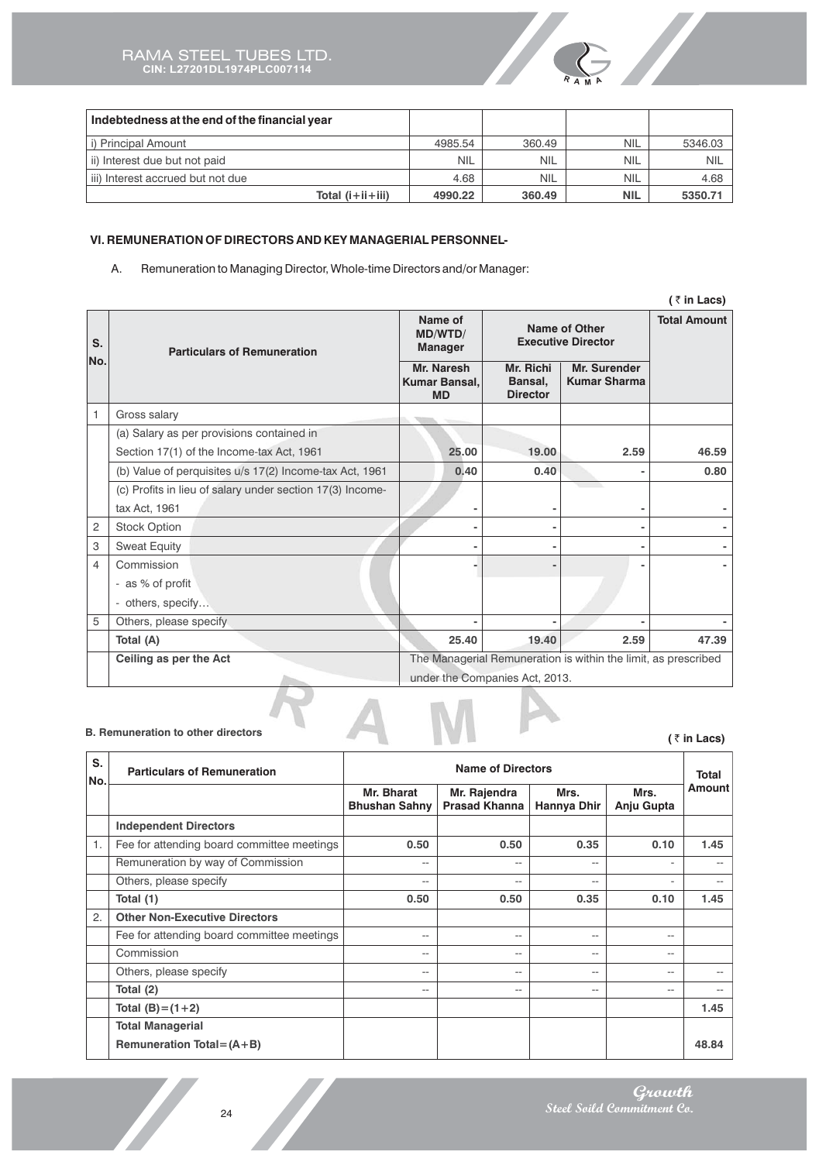

| Indebtedness at the end of the financial year |            |            |            |            |
|-----------------------------------------------|------------|------------|------------|------------|
| i) Principal Amount                           | 4985.54    | 360.49     | <b>NIL</b> | 5346.03    |
| ii) Interest due but not paid                 | <b>NIL</b> | <b>NIL</b> | <b>NIL</b> | <b>NIL</b> |
| iii) Interest accrued but not due             | 4.68       | <b>NIL</b> | <b>NIL</b> | 4.68       |
| Total (i+ii+iii)                              | 4990.22    | 360.49     | <b>NIL</b> | 5350.71    |

# **VI. REMUNERATION OF DIRECTORS AND KEY MANAGERIAL PERSONNEL-**

A. Remuneration to Managing Director, Whole-time Directors and/or Manager:

|                |                                                           |                                          |                                                   |                                                                | $($ ₹ in Lacs) |
|----------------|-----------------------------------------------------------|------------------------------------------|---------------------------------------------------|----------------------------------------------------------------|----------------|
| S.             | <b>Particulars of Remuneration</b>                        | Name of<br>MD/WTD/<br><b>Manager</b>     | <b>Name of Other</b><br><b>Executive Director</b> | <b>Total Amount</b>                                            |                |
| No.            |                                                           | Mr. Naresh<br>Kumar Bansal,<br><b>MD</b> | Mr. Richi<br>Bansal,<br><b>Director</b>           | Mr. Surender<br><b>Kumar Sharma</b>                            |                |
| 1              | Gross salary                                              |                                          |                                                   |                                                                |                |
|                | (a) Salary as per provisions contained in                 |                                          |                                                   |                                                                |                |
|                | Section 17(1) of the Income-tax Act, 1961                 | 25.00                                    | 19.00                                             | 2.59                                                           | 46.59          |
|                | (b) Value of perquisites u/s 17(2) Income-tax Act, 1961   | 0.40                                     | 0.40                                              |                                                                | 0.80           |
|                | (c) Profits in lieu of salary under section 17(3) Income- |                                          |                                                   |                                                                |                |
|                | tax Act, 1961                                             |                                          |                                                   |                                                                |                |
| 2              | <b>Stock Option</b>                                       |                                          |                                                   |                                                                |                |
| 3              | <b>Sweat Equity</b>                                       |                                          |                                                   |                                                                |                |
| $\overline{4}$ | Commission                                                |                                          |                                                   |                                                                |                |
|                | - as % of profit                                          |                                          |                                                   |                                                                |                |
|                | - others, specify                                         |                                          |                                                   |                                                                |                |
| 5              | Others, please specify                                    |                                          |                                                   |                                                                |                |
|                | Total (A)                                                 | 25.40                                    | 19.40                                             | 2.59                                                           | 47.39          |
|                | Ceiling as per the Act                                    | under the Companies Act, 2013.           |                                                   | The Managerial Remuneration is within the limit, as prescribed |                |

#### **B. Remuneration to other directors**

**(** ` **in Lacs)**

| S.<br>No.        | <b>Particulars of Remuneration</b>         |                                    | <b>Name of Directors</b>             |                     |                    | <b>Total</b>  |
|------------------|--------------------------------------------|------------------------------------|--------------------------------------|---------------------|--------------------|---------------|
|                  |                                            | Mr. Bharat<br><b>Bhushan Sahny</b> | Mr. Rajendra<br><b>Prasad Khanna</b> | Mrs.<br>Hannya Dhir | Mrs.<br>Anju Gupta | <b>Amount</b> |
|                  | <b>Independent Directors</b>               |                                    |                                      |                     |                    |               |
| $\mathbf{1}$ .   | Fee for attending board committee meetings | 0.50                               | 0.50                                 | 0.35                | 0.10               | 1.45          |
|                  | Remuneration by way of Commission          | --                                 | $-$                                  | $-$                 |                    |               |
|                  | Others, please specify                     | $- -$                              | $- -$                                | $- -$               |                    | $- -$         |
|                  | Total (1)                                  | 0.50                               | 0.50                                 | 0.35                | 0.10               | 1.45          |
| $\overline{2}$ . | <b>Other Non-Executive Directors</b>       |                                    |                                      |                     |                    |               |
|                  | Fee for attending board committee meetings | --                                 | $- -$                                | --                  | --                 |               |
|                  | Commission                                 | $-$                                | $-$                                  | $- -$               | $-$                |               |
|                  | Others, please specify                     | $- -$                              | $- -$                                | $-$                 | $\qquad \qquad -$  | --            |
|                  | Total (2)                                  | $- -$                              | $- -$                                | $-$                 | --                 | --            |
|                  | Total $(B)=(1+2)$                          |                                    |                                      |                     |                    | 1.45          |
|                  | <b>Total Managerial</b>                    |                                    |                                      |                     |                    |               |
|                  | Remuneration Total = $(A + B)$             |                                    |                                      |                     |                    | 48.84         |